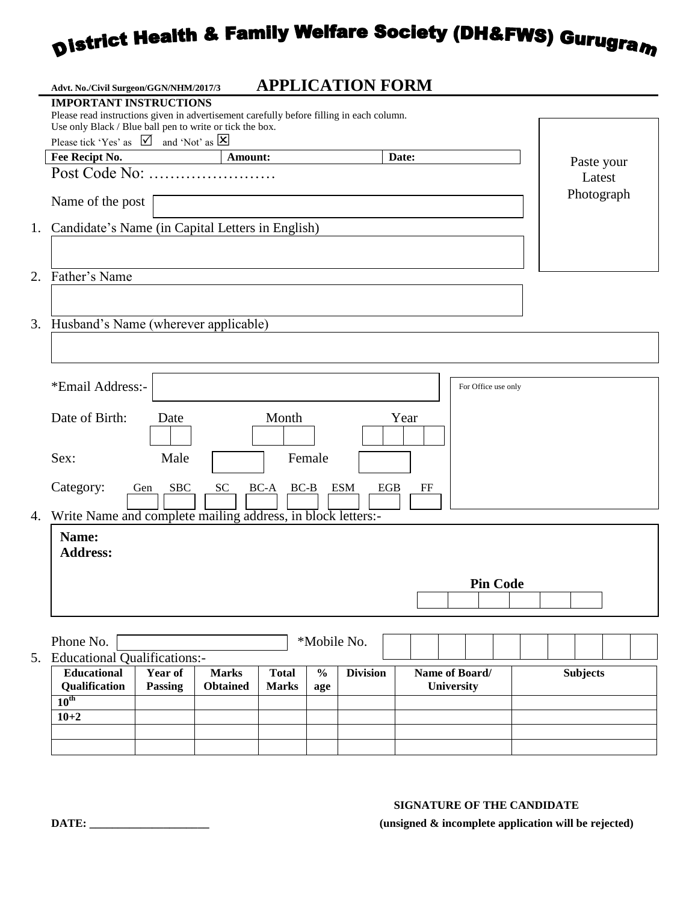# **District Health & Family Welfare Society (DH&FWS) Gurugram**

| <b>IMPORTANT INSTRUCTIONS</b><br>Please read instructions given in advertisement carefully before filling in each column.<br>Use only Black / Blue ball pen to write or tick the box.<br>Please tick 'Yes' as $\[\n\mathbf{Z}\]$ and 'Not' as $[\mathbf{X}]$<br>Fee Recipt No.<br>Amount:<br>Date:<br>Post Code No:<br>Latest<br>Name of the post<br>Father's Name<br>Husband's Name (wherever applicable)<br>*Email Address:-<br>For Office use only<br>Date of Birth:<br>Month<br>Year<br>Date<br>Female<br>Sex:<br>Male<br>Category:<br><b>SBC</b><br>SC<br><b>ESM</b><br>$BC-A$<br>$BC-B$<br>EGB<br>Gen<br>$_{\rm FF}$<br>Write Name and complete mailing address, in block letters:-<br>Name:<br><b>Address:</b><br><b>Pin Code</b><br>Phone No.<br>*Mobile No. | Advt. No./Civil Surgeon/GGN/NHM/2017/3 | <b>APPLICATION FORM</b> |  |            |
|----------------------------------------------------------------------------------------------------------------------------------------------------------------------------------------------------------------------------------------------------------------------------------------------------------------------------------------------------------------------------------------------------------------------------------------------------------------------------------------------------------------------------------------------------------------------------------------------------------------------------------------------------------------------------------------------------------------------------------------------------------------------|----------------------------------------|-------------------------|--|------------|
|                                                                                                                                                                                                                                                                                                                                                                                                                                                                                                                                                                                                                                                                                                                                                                      |                                        |                         |  |            |
|                                                                                                                                                                                                                                                                                                                                                                                                                                                                                                                                                                                                                                                                                                                                                                      |                                        |                         |  |            |
|                                                                                                                                                                                                                                                                                                                                                                                                                                                                                                                                                                                                                                                                                                                                                                      |                                        |                         |  |            |
|                                                                                                                                                                                                                                                                                                                                                                                                                                                                                                                                                                                                                                                                                                                                                                      |                                        |                         |  | Paste your |
|                                                                                                                                                                                                                                                                                                                                                                                                                                                                                                                                                                                                                                                                                                                                                                      |                                        |                         |  |            |
| 1. Candidate's Name (in Capital Letters in English)                                                                                                                                                                                                                                                                                                                                                                                                                                                                                                                                                                                                                                                                                                                  |                                        |                         |  | Photograph |
| 2.                                                                                                                                                                                                                                                                                                                                                                                                                                                                                                                                                                                                                                                                                                                                                                   |                                        |                         |  |            |
|                                                                                                                                                                                                                                                                                                                                                                                                                                                                                                                                                                                                                                                                                                                                                                      |                                        |                         |  |            |
| 3.<br>4.                                                                                                                                                                                                                                                                                                                                                                                                                                                                                                                                                                                                                                                                                                                                                             |                                        |                         |  |            |
|                                                                                                                                                                                                                                                                                                                                                                                                                                                                                                                                                                                                                                                                                                                                                                      |                                        |                         |  |            |
|                                                                                                                                                                                                                                                                                                                                                                                                                                                                                                                                                                                                                                                                                                                                                                      |                                        |                         |  |            |
|                                                                                                                                                                                                                                                                                                                                                                                                                                                                                                                                                                                                                                                                                                                                                                      |                                        |                         |  |            |
|                                                                                                                                                                                                                                                                                                                                                                                                                                                                                                                                                                                                                                                                                                                                                                      |                                        |                         |  |            |
|                                                                                                                                                                                                                                                                                                                                                                                                                                                                                                                                                                                                                                                                                                                                                                      |                                        |                         |  |            |
|                                                                                                                                                                                                                                                                                                                                                                                                                                                                                                                                                                                                                                                                                                                                                                      |                                        |                         |  |            |
|                                                                                                                                                                                                                                                                                                                                                                                                                                                                                                                                                                                                                                                                                                                                                                      |                                        |                         |  |            |
|                                                                                                                                                                                                                                                                                                                                                                                                                                                                                                                                                                                                                                                                                                                                                                      |                                        |                         |  |            |
|                                                                                                                                                                                                                                                                                                                                                                                                                                                                                                                                                                                                                                                                                                                                                                      |                                        |                         |  |            |
|                                                                                                                                                                                                                                                                                                                                                                                                                                                                                                                                                                                                                                                                                                                                                                      |                                        |                         |  |            |
|                                                                                                                                                                                                                                                                                                                                                                                                                                                                                                                                                                                                                                                                                                                                                                      |                                        |                         |  |            |
|                                                                                                                                                                                                                                                                                                                                                                                                                                                                                                                                                                                                                                                                                                                                                                      |                                        |                         |  |            |
|                                                                                                                                                                                                                                                                                                                                                                                                                                                                                                                                                                                                                                                                                                                                                                      |                                        |                         |  |            |
|                                                                                                                                                                                                                                                                                                                                                                                                                                                                                                                                                                                                                                                                                                                                                                      |                                        |                         |  |            |
|                                                                                                                                                                                                                                                                                                                                                                                                                                                                                                                                                                                                                                                                                                                                                                      |                                        |                         |  |            |
|                                                                                                                                                                                                                                                                                                                                                                                                                                                                                                                                                                                                                                                                                                                                                                      |                                        |                         |  |            |
|                                                                                                                                                                                                                                                                                                                                                                                                                                                                                                                                                                                                                                                                                                                                                                      |                                        |                         |  |            |
|                                                                                                                                                                                                                                                                                                                                                                                                                                                                                                                                                                                                                                                                                                                                                                      |                                        |                         |  |            |
|                                                                                                                                                                                                                                                                                                                                                                                                                                                                                                                                                                                                                                                                                                                                                                      |                                        |                         |  |            |
| 5. Educational Qualifications:-<br>Educational<br>Year of<br><b>Division</b><br><b>Marks</b><br><b>Total</b><br>$\frac{0}{0}$<br>Name of Board/<br><b>Subjects</b>                                                                                                                                                                                                                                                                                                                                                                                                                                                                                                                                                                                                   |                                        |                         |  |            |
| Qualification<br><b>Passing</b><br><b>Obtained</b><br><b>University</b><br><b>Marks</b><br>age                                                                                                                                                                                                                                                                                                                                                                                                                                                                                                                                                                                                                                                                       |                                        |                         |  |            |
| $10^{\text{th}}$                                                                                                                                                                                                                                                                                                                                                                                                                                                                                                                                                                                                                                                                                                                                                     |                                        |                         |  |            |
| $10 + 2$                                                                                                                                                                                                                                                                                                                                                                                                                                                                                                                                                                                                                                                                                                                                                             |                                        |                         |  |            |
|                                                                                                                                                                                                                                                                                                                                                                                                                                                                                                                                                                                                                                                                                                                                                                      |                                        |                         |  |            |

#### **SIGNATURE OF THE CANDIDATE**

**DATE: \_\_\_\_\_\_\_\_\_\_\_\_\_\_\_\_\_\_\_\_\_ (unsigned & incomplete application will be rejected)**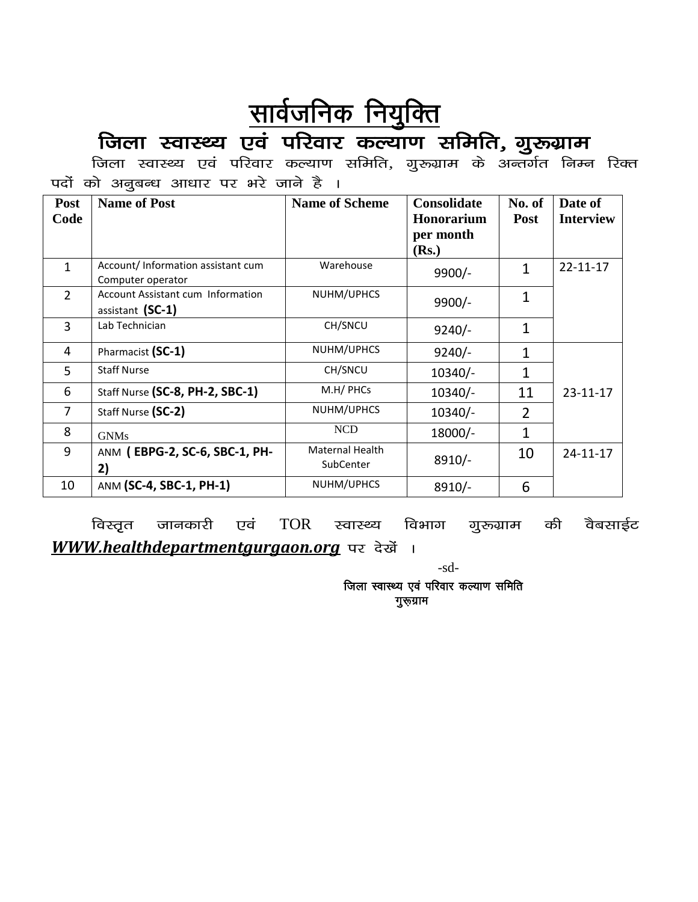## <u>सार्वजनिक नियुक्ति</u>

### जिला स्वास्थ्य एवं परिवार कल्याण समिति, गुरुग्राम

जिला स्वास्थ्य एवं परिवार कल्याण समिति, गुरुग्राम के अन्तर्गत निम्न रिक्त पदों को अनुबन्ध आधार पर भरे जाने है ।

| Post<br>Code   | <b>Name of Post</b>                                          | <b>Name of Scheme</b>               | <b>Consolidate</b><br>Honorarium<br>per month<br>(Rs.) | No. of<br>Post | Date of<br><b>Interview</b> |
|----------------|--------------------------------------------------------------|-------------------------------------|--------------------------------------------------------|----------------|-----------------------------|
| $\mathbf{1}$   | Account/Information assistant cum<br>Computer operator       | Warehouse                           | $9900/-$                                               | $\mathbf{1}$   | $22 - 11 - 17$              |
| $\overline{2}$ | <b>Account Assistant cum Information</b><br>assistant (SC-1) | NUHM/UPHCS                          | $9900/-$                                               | 1              |                             |
| 3              | Lab Technician                                               | CH/SNCU                             | $9240/-$                                               | 1              |                             |
| 4              | Pharmacist (SC-1)                                            | NUHM/UPHCS                          | $9240/-$                                               | $\mathbf{1}$   |                             |
| 5              | <b>Staff Nurse</b>                                           | CH/SNCU                             | $10340/-$                                              | $\mathbf{1}$   |                             |
| 6              | Staff Nurse (SC-8, PH-2, SBC-1)                              | M.H/ PHCs                           | $10340/-$                                              | 11             | $23 - 11 - 17$              |
| 7              | Staff Nurse (SC-2)                                           | NUHM/UPHCS                          | $10340/-$                                              | $\overline{2}$ |                             |
| 8              | <b>GNMs</b>                                                  | <b>NCD</b>                          | 18000/-                                                | 1              |                             |
| 9              | ANM (EBPG-2, SC-6, SBC-1, PH-<br>2)                          | <b>Maternal Health</b><br>SubCenter | $8910/-$                                               | 10             | $24 - 11 - 17$              |
| 10             | ANM (SC-4, SBC-1, PH-1)                                      | NUHM/UPHCS                          | $8910/-$                                               | 6              |                             |

विस्तृत जानकारी एवं  $TOR$  स्वास्थ्य विभाग गुरुग्राम की वैबसाईट WWW.healthdepartmentgurgaon.org पर देखें ।

-sd-

जिला स्वास्थ्य एवं परिवार कल्याण समिति गुरूग्राम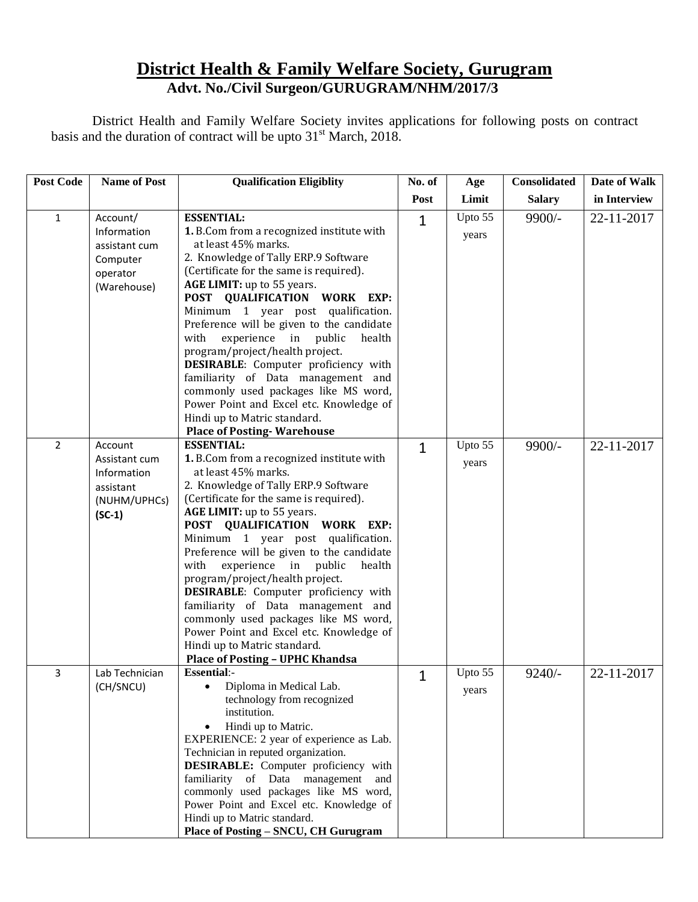### **District Health & Family Welfare Society, Gurugram Advt. No./Civil Surgeon/GURUGRAM/NHM/2017/3**

District Health and Family Welfare Society invites applications for following posts on contract basis and the duration of contract will be upto  $31<sup>st</sup>$  March, 2018.

| <b>Post Code</b> | <b>Name of Post</b>                                                              | <b>Qualification Eligiblity</b>                                                                                                                                                                                                                                                                                                                                                                                                                                                                                                                                                                                                                   | No. of       | Age              | <b>Consolidated</b> | Date of Walk |
|------------------|----------------------------------------------------------------------------------|---------------------------------------------------------------------------------------------------------------------------------------------------------------------------------------------------------------------------------------------------------------------------------------------------------------------------------------------------------------------------------------------------------------------------------------------------------------------------------------------------------------------------------------------------------------------------------------------------------------------------------------------------|--------------|------------------|---------------------|--------------|
|                  |                                                                                  |                                                                                                                                                                                                                                                                                                                                                                                                                                                                                                                                                                                                                                                   | Post         | Limit            | <b>Salary</b>       | in Interview |
| $\mathbf{1}$     | Account/<br>Information<br>assistant cum<br>Computer<br>operator<br>(Warehouse)  | <b>ESSENTIAL:</b><br>1. B.Com from a recognized institute with<br>at least 45% marks.<br>2. Knowledge of Tally ERP.9 Software<br>(Certificate for the same is required).<br>AGE LIMIT: up to 55 years.<br>POST QUALIFICATION WORK EXP:<br>Minimum 1 year post qualification.<br>Preference will be given to the candidate<br>with<br>experience in public<br>health<br>program/project/health project.<br>DESIRABLE: Computer proficiency with<br>familiarity of Data management and<br>commonly used packages like MS word,<br>Power Point and Excel etc. Knowledge of<br>Hindi up to Matric standard.<br><b>Place of Posting-Warehouse</b>      | $\mathbf{1}$ | Upto 55<br>years | 9900/-              | 22-11-2017   |
| $\overline{2}$   | Account<br>Assistant cum<br>Information<br>assistant<br>(NUHM/UPHCs)<br>$(SC-1)$ | <b>ESSENTIAL:</b><br>1. B.Com from a recognized institute with<br>at least 45% marks.<br>2. Knowledge of Tally ERP.9 Software<br>(Certificate for the same is required).<br>AGE LIMIT: up to 55 years.<br>POST QUALIFICATION WORK EXP:<br>Minimum 1 year post qualification.<br>Preference will be given to the candidate<br>with<br>experience in public<br>health<br>program/project/health project.<br>DESIRABLE: Computer proficiency with<br>familiarity of Data management and<br>commonly used packages like MS word,<br>Power Point and Excel etc. Knowledge of<br>Hindi up to Matric standard.<br><b>Place of Posting - UPHC Khandsa</b> | $\mathbf{1}$ | Upto 55<br>years | 9900/-              | 22-11-2017   |
| 3                | Lab Technician<br>(CH/SNCU)                                                      | <b>Essential:-</b><br>Diploma in Medical Lab.<br>technology from recognized<br>institution.<br>Hindi up to Matric.<br>EXPERIENCE: 2 year of experience as Lab.<br>Technician in reputed organization.<br>DESIRABLE: Computer proficiency with<br>familiarity of Data management<br>and<br>commonly used packages like MS word,<br>Power Point and Excel etc. Knowledge of<br>Hindi up to Matric standard.<br>Place of Posting - SNCU, CH Gurugram                                                                                                                                                                                                 | 1            | Upto 55<br>years | $9240/-$            | 22-11-2017   |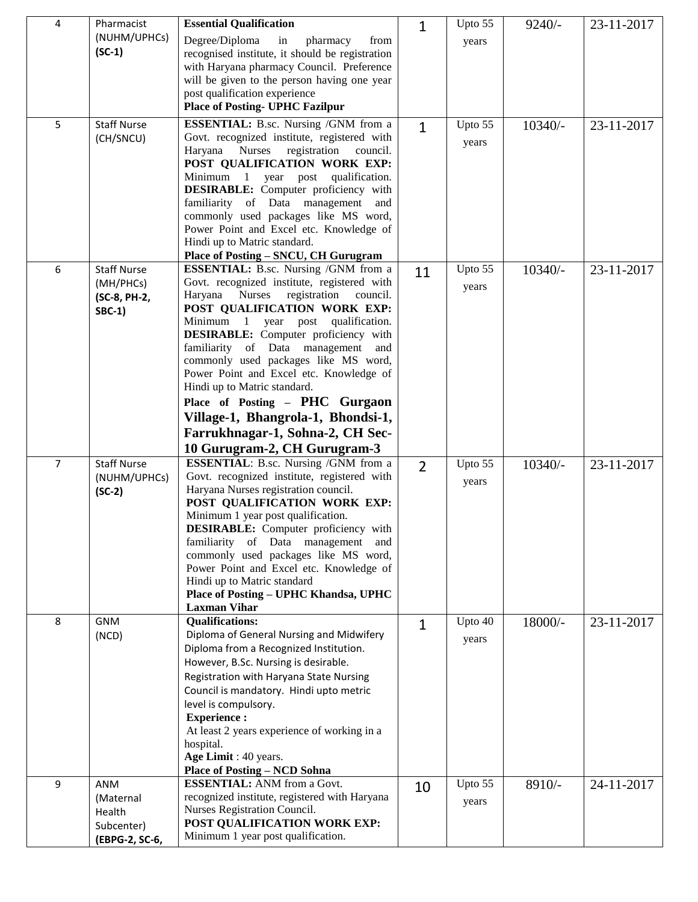| 4              | Pharmacist                                                  | <b>Essential Qualification</b>                                                                                                                                                                                                                                                                                                                                                                                                                                                                                                                                        | 1              | Upto 55          | $9240/-$  | 23-11-2017 |
|----------------|-------------------------------------------------------------|-----------------------------------------------------------------------------------------------------------------------------------------------------------------------------------------------------------------------------------------------------------------------------------------------------------------------------------------------------------------------------------------------------------------------------------------------------------------------------------------------------------------------------------------------------------------------|----------------|------------------|-----------|------------|
|                | (NUHM/UPHCs)<br>$(SC-1)$                                    | Degree/Diploma<br>in<br>pharmacy<br>from<br>recognised institute, it should be registration<br>with Haryana pharmacy Council. Preference<br>will be given to the person having one year<br>post qualification experience<br><b>Place of Posting- UPHC Fazilpur</b>                                                                                                                                                                                                                                                                                                    |                | years            |           |            |
| 5              | <b>Staff Nurse</b><br>(CH/SNCU)                             | <b>ESSENTIAL:</b> B.sc. Nursing /GNM from a<br>Govt. recognized institute, registered with<br>registration<br>Haryana Nurses<br>council.<br>POST QUALIFICATION WORK EXP:<br>Minimum 1 year post qualification.<br>DESIRABLE: Computer proficiency with<br>familiarity of Data management and<br>commonly used packages like MS word,<br>Power Point and Excel etc. Knowledge of<br>Hindi up to Matric standard.<br>Place of Posting - SNCU, CH Gurugram                                                                                                               | $\mathbf{1}$   | Upto 55<br>years | $10340/-$ | 23-11-2017 |
| 6              | <b>Staff Nurse</b><br>(MH/PHCs)<br>(SC-8, PH-2,<br>$SBC-1)$ | <b>ESSENTIAL:</b> B.sc. Nursing /GNM from a<br>Govt. recognized institute, registered with<br>Haryana Nurses<br>registration<br>council.<br>POST QUALIFICATION WORK EXP:<br>Minimum 1 year post qualification.<br><b>DESIRABLE:</b> Computer proficiency with<br>familiarity of Data management<br>and<br>commonly used packages like MS word,<br>Power Point and Excel etc. Knowledge of<br>Hindi up to Matric standard.<br>Place of Posting - PHC Gurgaon<br>Village-1, Bhangrola-1, Bhondsi-1,<br>Farrukhnagar-1, Sohna-2, CH Sec-<br>10 Gurugram-2, CH Gurugram-3 | 11             | Upto 55<br>years | 10340/-   | 23-11-2017 |
| $\overline{7}$ | <b>Staff Nurse</b><br>(NUHM/UPHCs)<br>$(SC-2)$              | <b>ESSENTIAL:</b> B.sc. Nursing /GNM from a<br>Govt. recognized institute, registered with<br>Haryana Nurses registration council.<br>POST QUALIFICATION WORK EXP:<br>Minimum 1 year post qualification.<br><b>DESIRABLE:</b> Computer proficiency with<br>familiarity of Data management and<br>commonly used packages like MS word,<br>Power Point and Excel etc. Knowledge of<br>Hindi up to Matric standard<br>Place of Posting - UPHC Khandsa, UPHC<br><b>Laxman Vihar</b>                                                                                       | $\overline{2}$ | Upto 55<br>years | 10340/-   | 23-11-2017 |
| 8              | <b>GNM</b><br>(NCD)                                         | <b>Qualifications:</b><br>Diploma of General Nursing and Midwifery<br>Diploma from a Recognized Institution.<br>However, B.Sc. Nursing is desirable.<br>Registration with Haryana State Nursing<br>Council is mandatory. Hindi upto metric<br>level is compulsory.<br><b>Experience:</b><br>At least 2 years experience of working in a<br>hospital.<br>Age Limit : 40 years.<br><b>Place of Posting - NCD Sohna</b>                                                                                                                                                  | $\mathbf{1}$   | Upto 40<br>years | 18000/-   | 23-11-2017 |
| 9              | ANM<br>(Maternal<br>Health<br>Subcenter)<br>(EBPG-2, SC-6,  | <b>ESSENTIAL:</b> ANM from a Govt.<br>recognized institute, registered with Haryana<br>Nurses Registration Council.<br>POST QUALIFICATION WORK EXP:<br>Minimum 1 year post qualification.                                                                                                                                                                                                                                                                                                                                                                             | 10             | Upto 55<br>years | 8910/-    | 24-11-2017 |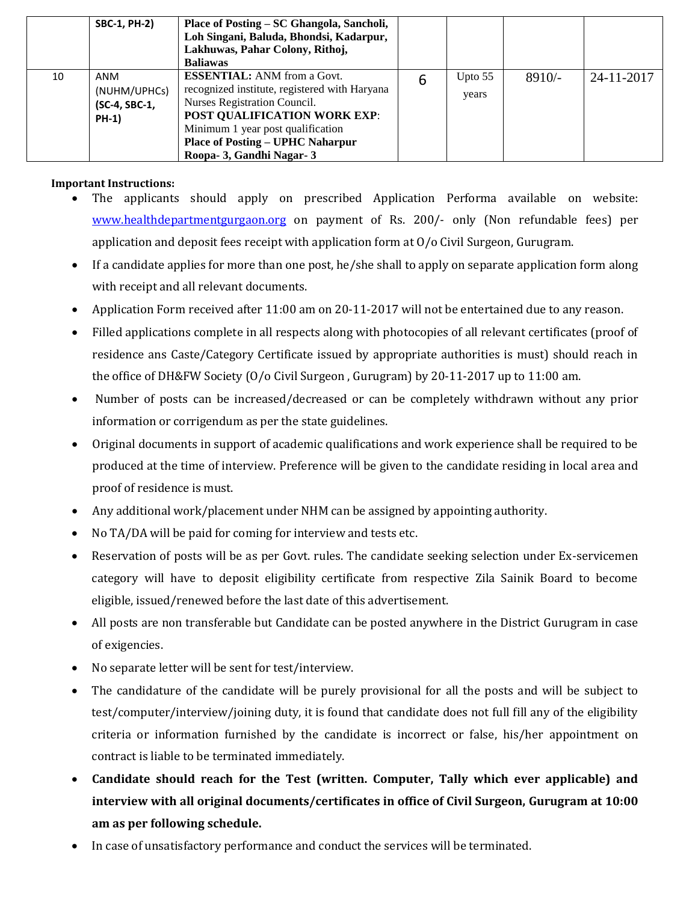|    | <b>SBC-1, PH-2)</b>                                  | Place of Posting – SC Ghangola, Sancholi,<br>Loh Singani, Baluda, Bhondsi, Kadarpur,<br>Lakhuwas, Pahar Colony, Rithoj,<br><b>Baliawas</b>                                                                                                                              |   |                    |          |            |
|----|------------------------------------------------------|-------------------------------------------------------------------------------------------------------------------------------------------------------------------------------------------------------------------------------------------------------------------------|---|--------------------|----------|------------|
| 10 | ANM<br>(NUHM/UPHCs)<br>(SC-4, SBC-1,<br><b>PH-1)</b> | <b>ESSENTIAL:</b> ANM from a Govt.<br>recognized institute, registered with Haryana<br>Nurses Registration Council.<br><b>POST QUALIFICATION WORK EXP:</b><br>Minimum 1 year post qualification<br><b>Place of Posting – UPHC Naharpur</b><br>Roopa- 3, Gandhi Nagar- 3 | 6 | Upto $55$<br>years | $8910/-$ | 24-11-2017 |

#### **Important Instructions:**

- The applicants should apply on prescribed Application Performa available on website: [www.healthdepartmentgurgaon.org](http://www.healthdepartmentgurgaon.org/) on payment of Rs. 200/- only (Non refundable fees) per application and deposit fees receipt with application form at O/o Civil Surgeon, Gurugram.
- If a candidate applies for more than one post, he/she shall to apply on separate application form along with receipt and all relevant documents.
- Application Form received after 11:00 am on 20-11-2017 will not be entertained due to any reason.
- Filled applications complete in all respects along with photocopies of all relevant certificates (proof of residence ans Caste/Category Certificate issued by appropriate authorities is must) should reach in the office of DH&FW Society (O/o Civil Surgeon , Gurugram) by 20-11-2017 up to 11:00 am.
- Number of posts can be increased/decreased or can be completely withdrawn without any prior information or corrigendum as per the state guidelines.
- Original documents in support of academic qualifications and work experience shall be required to be produced at the time of interview. Preference will be given to the candidate residing in local area and proof of residence is must.
- Any additional work/placement under NHM can be assigned by appointing authority.
- No TA/DA will be paid for coming for interview and tests etc.
- Reservation of posts will be as per Govt. rules. The candidate seeking selection under Ex-servicemen category will have to deposit eligibility certificate from respective Zila Sainik Board to become eligible, issued/renewed before the last date of this advertisement.
- All posts are non transferable but Candidate can be posted anywhere in the District Gurugram in case of exigencies.
- No separate letter will be sent for test/interview.
- The candidature of the candidate will be purely provisional for all the posts and will be subject to test/computer/interview/joining duty, it is found that candidate does not full fill any of the eligibility criteria or information furnished by the candidate is incorrect or false, his/her appointment on contract is liable to be terminated immediately.
- **Candidate should reach for the Test (written. Computer, Tally which ever applicable) and interview with all original documents/certificates in office of Civil Surgeon, Gurugram at 10:00 am as per following schedule.**
- In case of unsatisfactory performance and conduct the services will be terminated.